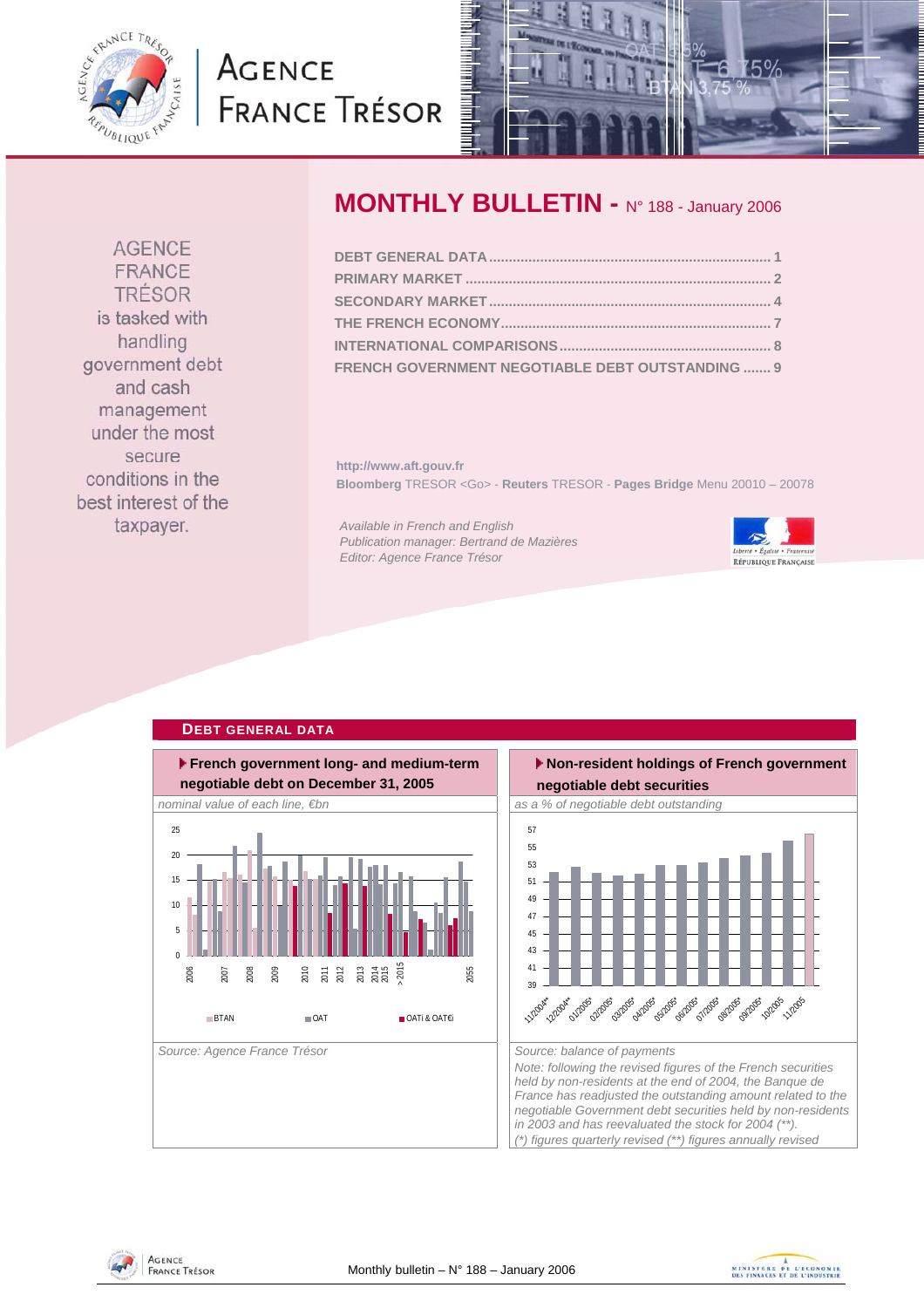<span id="page-0-0"></span>

# **AGENCE FRANCE TRÉSOR**



### **AGENCE** FRANCE TRÉSOR is tasked with handling government debt and cash management under the most secure conditions in the best interest of the taxpayer.

## **MONTHLY BULLETIN -** N° 188 - January 2006

| FRENCH GOVERNMENT NEGOTIABLE DEBT OUTSTANDING  9 |  |
|--------------------------------------------------|--|

**http://www.aft.gouv.fr Bloomberg** TRESOR <Go> - **Reuters** TRESOR - **Pages Bridge** Menu 20010 – 20078

*Available in French and English Publication manager: Bertrand de Mazières Editor: Agence France Trésor* 



#### **DEBT GENERAL DATA French government long- and medium-term negotiable debt on December 31, 2005**  nominal value of each line, €bn as a matrix of as a % of negotiable debt outstanding Source: Agence France Trésor **Source: balance of payments** Source: balance of payments 0 5 10 15 20  $25 - 25$ 2006 2007 2008 2009 2010 2011 2012 2013 2014 2015 > 2015 2055 **BTAN OAT** OAT **OAT** OATI& OAT€i





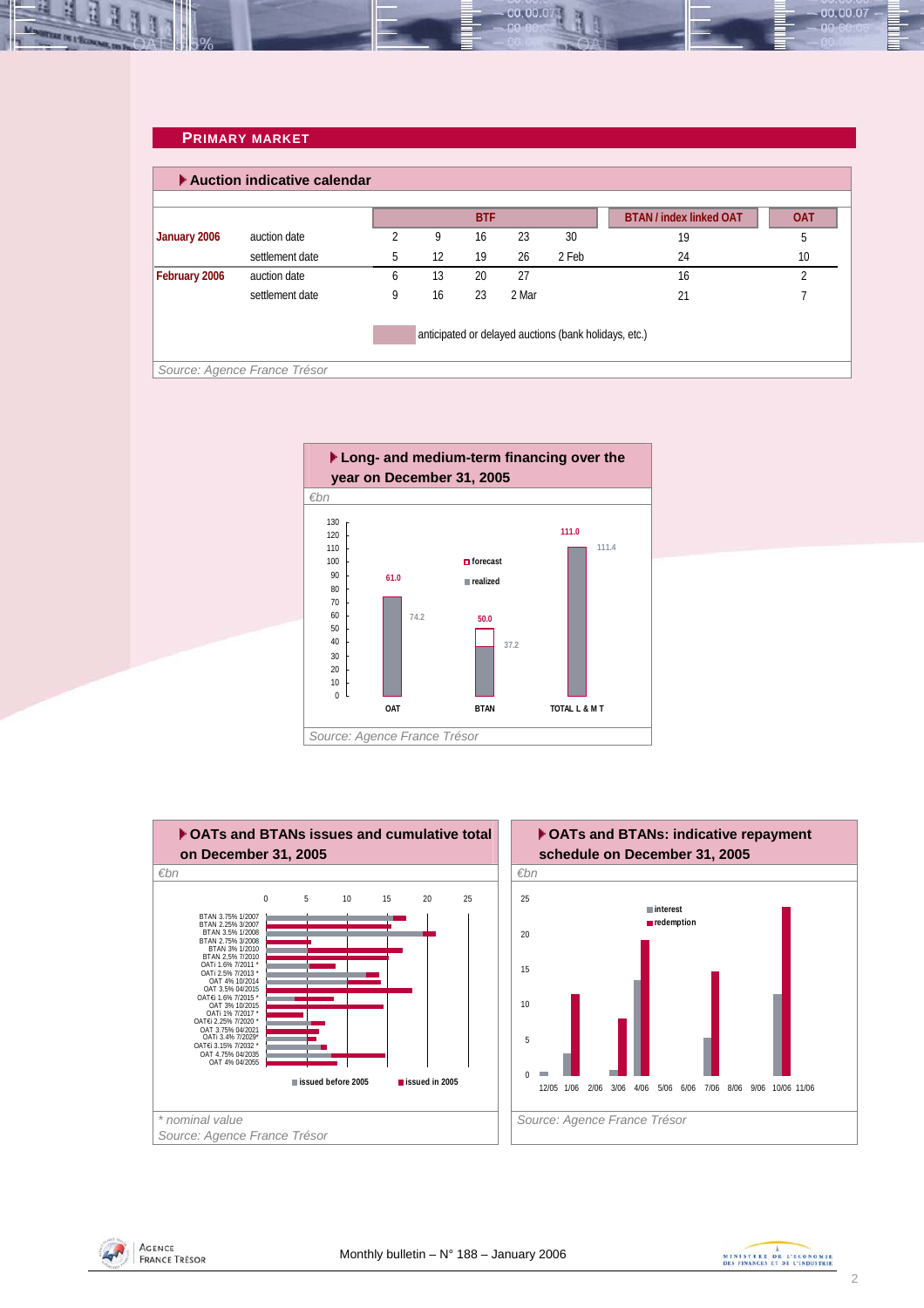#### **PRIMARY MARKET**

<span id="page-1-0"></span>

|                               | auction date<br>settlement date | 2<br>5 | 9  | <b>BTF</b><br>16 | 23    |                                                       | <b>BTAN / index linked OAT</b> | <b>OAT</b> |
|-------------------------------|---------------------------------|--------|----|------------------|-------|-------------------------------------------------------|--------------------------------|------------|
| January 2006<br>February 2006 |                                 |        |    |                  |       |                                                       |                                |            |
|                               |                                 |        |    |                  |       | 30                                                    | 19                             | 5          |
|                               |                                 |        | 12 | 19               | 26    | 2 Feb                                                 | 24                             | 10         |
|                               | auction date                    | 6      | 13 | 20               | 27    |                                                       | 16                             |            |
|                               | settlement date                 | 9      | 16 | 23               | 2 Mar |                                                       | 21                             |            |
|                               |                                 |        |    |                  |       | anticipated or delayed auctions (bank holidays, etc.) |                                |            |

00.00.0









00.00.07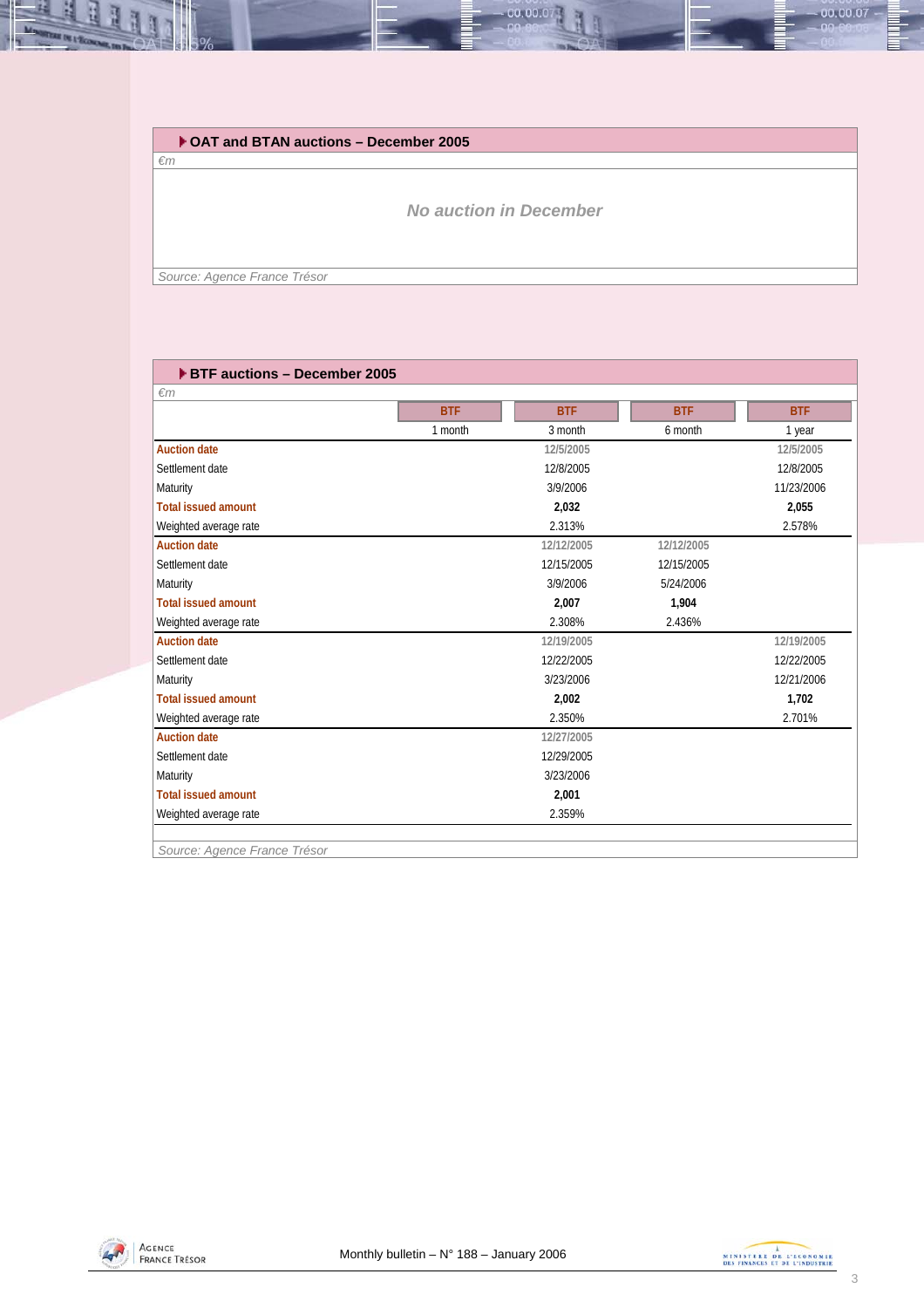

#### **OAT and BTAN auctions – December 2005**

*€m*

*No auction in December* 

*Source: Agence France Trésor* 

| ▶ BTF auctions - December 2005 |            |            |            |            |
|--------------------------------|------------|------------|------------|------------|
| $\epsilon$ m                   |            |            |            |            |
|                                | <b>BTF</b> | <b>BTF</b> | <b>BTF</b> | <b>BTF</b> |
|                                | 1 month    | 3 month    | 6 month    | 1 year     |
| <b>Auction date</b>            |            | 12/5/2005  |            | 12/5/2005  |
| Settlement date                |            | 12/8/2005  |            | 12/8/2005  |
| Maturity                       |            | 3/9/2006   |            | 11/23/2006 |
| <b>Total issued amount</b>     |            | 2,032      |            | 2,055      |
| Weighted average rate          |            | 2.313%     |            | 2.578%     |
| <b>Auction date</b>            |            | 12/12/2005 | 12/12/2005 |            |
| Settlement date                |            | 12/15/2005 | 12/15/2005 |            |
| Maturity                       |            | 3/9/2006   | 5/24/2006  |            |
| <b>Total issued amount</b>     |            | 2,007      | 1,904      |            |
| Weighted average rate          |            | 2.308%     | 2.436%     |            |
| <b>Auction date</b>            |            | 12/19/2005 |            | 12/19/2005 |
| Settlement date                |            | 12/22/2005 |            | 12/22/2005 |
| Maturity                       |            | 3/23/2006  |            | 12/21/2006 |
| <b>Total issued amount</b>     |            | 2,002      |            | 1,702      |
| Weighted average rate          |            | 2.350%     |            | 2.701%     |
| <b>Auction date</b>            |            | 12/27/2005 |            |            |
| Settlement date                |            | 12/29/2005 |            |            |
| Maturity                       |            | 3/23/2006  |            |            |
| <b>Total issued amount</b>     |            | 2,001      |            |            |
| Weighted average rate          |            | 2.359%     |            |            |

*Source: Agence France Trésor* 



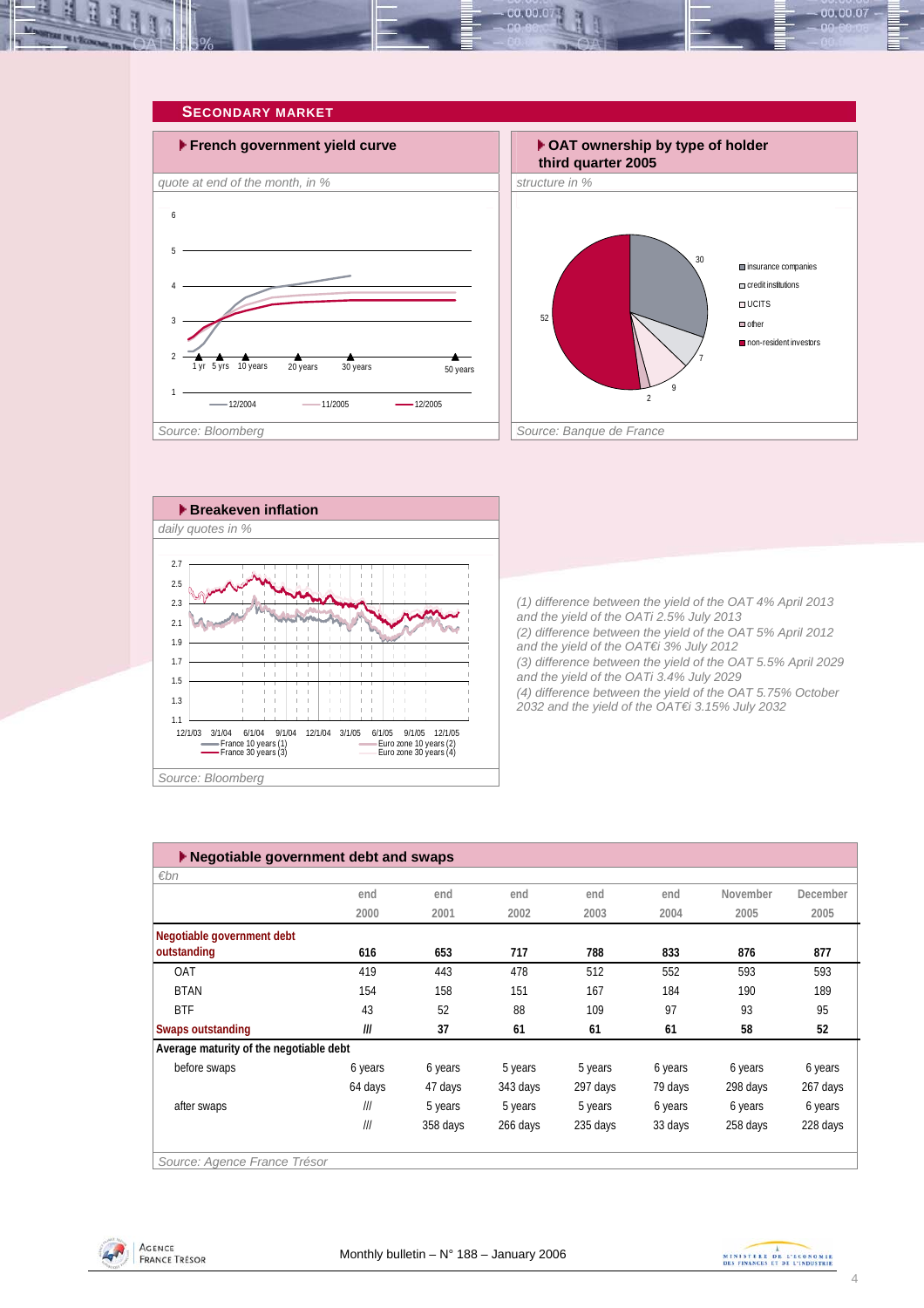<span id="page-3-0"></span>







*(1) difference between the yield of the OAT 4% April 2013 and the yield of the OATi 2.5% July 2013 (2) difference between the yield of the OAT 5% April 2012 and the yield of the OAT€i 3% July 2012 (3) difference between the yield of the OAT 5.5% April 2029 and the yield of the OATi 3.4% July 2029 (4) difference between the yield of the OAT 5.75% October 2032 and the yield of the OAT€i 3.15% July 2032* 

| $\varepsilon$ bn                        |         |          |          |          |         |          |          |
|-----------------------------------------|---------|----------|----------|----------|---------|----------|----------|
|                                         | end     | end      | end      | end      | end     | November | December |
|                                         | 2000    | 2001     | 2002     | 2003     | 2004    | 2005     | 2005     |
| Negotiable government debt              |         |          |          |          |         |          |          |
| outstanding                             | 616     | 653      | 717      | 788      | 833     | 876      | 877      |
| <b>OAT</b>                              | 419     | 443      | 478      | 512      | 552     | 593      | 593      |
| <b>BTAN</b>                             | 154     | 158      | 151      | 167      | 184     | 190      | 189      |
| <b>BTF</b>                              | 43      | 52       | 88       | 109      | 97      | 93       | 95       |
| Swaps outstanding                       | III     | 37       | 61       | 61       | 61      | 58       | 52       |
| Average maturity of the negotiable debt |         |          |          |          |         |          |          |
| before swaps                            | 6 years | 6 years  | 5 years  | 5 years  | 6 years | 6 years  | 6 years  |
|                                         | 64 days | 47 days  | 343 days | 297 days | 79 days | 298 days | 267 days |
| after swaps                             | III     | 5 years  | 5 years  | 5 years  | 6 years | 6 years  | 6 years  |
|                                         | III     | 358 days | 266 days | 235 days | 33 days | 258 days | 228 days |



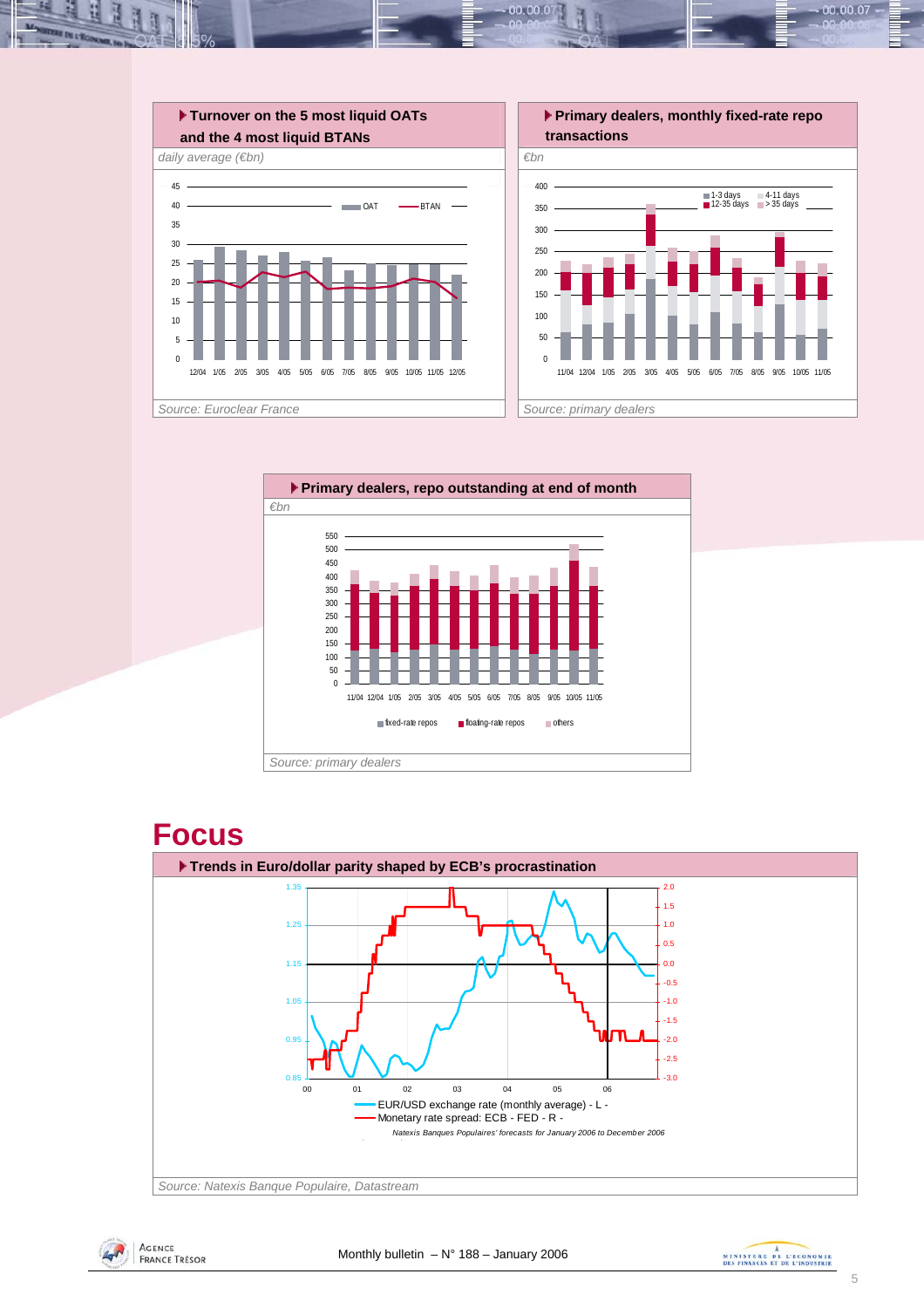





*Source: Natexis Banque Populaire, Datastream*





00.00.07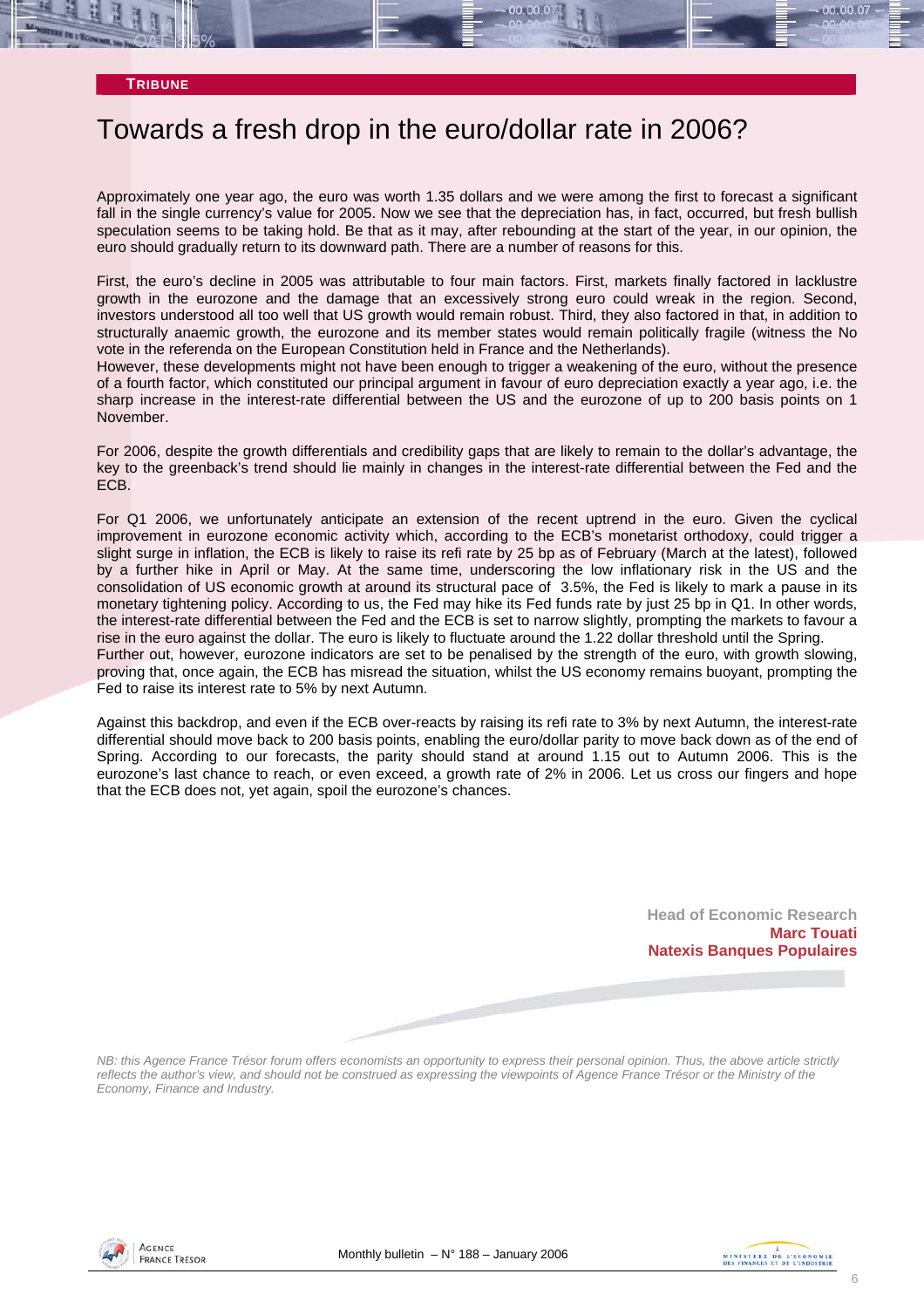## Towards a fresh drop in the euro/dollar rate in 2006?

Approximately one year ago, the euro was worth 1.35 dollars and we were among the first to forecast a significant fall in the single currency's value for 2005. Now we see that the depreciation has, in fact, occurred, but fresh bullish speculation seems to be taking hold. Be that as it may, after rebounding at the start of the year, in our opinion, the euro should gradually return to its downward path. There are a number of reasons for this.

First, the euro's decline in 2005 was attributable to four main factors. First, markets finally factored in lacklustre growth in the eurozone and the damage that an excessively strong euro could wreak in the region. Second, investors understood all too well that US growth would remain robust. Third, they also factored in that, in addition to structurally anaemic growth, the eurozone and its member states would remain politically fragile (witness the No vote in the referenda on the European Constitution held in France and the Netherlands).

However, these developments might not have been enough to trigger a weakening of the euro, without the presence of a fourth factor, which constituted our principal argument in favour of euro depreciation exactly a year ago, i.e. the sharp increase in the interest-rate differential between the US and the eurozone of up to 200 basis points on 1 November.

For 2006, despite the growth differentials and credibility gaps that are likely to remain to the dollar's advantage, the key to the greenback's trend should lie mainly in changes in the interest-rate differential between the Fed and the ECB.

For Q1 2006, we unfortunately anticipate an extension of the recent uptrend in the euro. Given the cyclical improvement in eurozone economic activity which, according to the ECB's monetarist orthodoxy, could trigger a slight surge in inflation, the ECB is likely to raise its refi rate by 25 bp as of February (March at the latest), followed by a further hike in April or May. At the same time, underscoring the low inflationary risk in the US and the consolidation of US economic growth at around its structural pace of 3.5%, the Fed is likely to mark a pause in its monetary tightening policy. According to us, the Fed may hike its Fed funds rate by just 25 bp in Q1. In other words, the interest-rate differential between the Fed and the ECB is set to narrow slightly, prompting the markets to favour a rise in the euro against the dollar. The euro is likely to fluctuate around the 1.22 dollar threshold until the Spring. Further out, however, eurozone indicators are set to be penalised by the strength of the euro, with growth slowing, proving that, once again, the ECB has misread the situation, whilst the US economy remains buoyant, prompting the Fed to raise its interest rate to 5% by next Autumn.

Against this backdrop, and even if the ECB over-reacts by raising its refi rate to 3% by next Autumn, the interest-rate differential should move back to 200 basis points, enabling the euro/dollar parity to move back down as of the end of Spring. According to our forecasts, the parity should stand at around 1.15 out to Autumn 2006. This is the eurozone's last chance to reach, or even exceed, a growth rate of 2% in 2006. Let us cross our fingers and hope that the ECB does not, yet again, spoil the eurozone's chances.

> **Head of Economic Research Marc Touati Natexis Banques Populaires**

*NB: this Agence France Trésor forum offers economists an opportunity to express their personal opinion. Thus, the above article strictly reflects the author's view, and should not be construed as expressing the viewpoints of Agence France Trésor or the Ministry of the Economy, Finance and Industry.* 



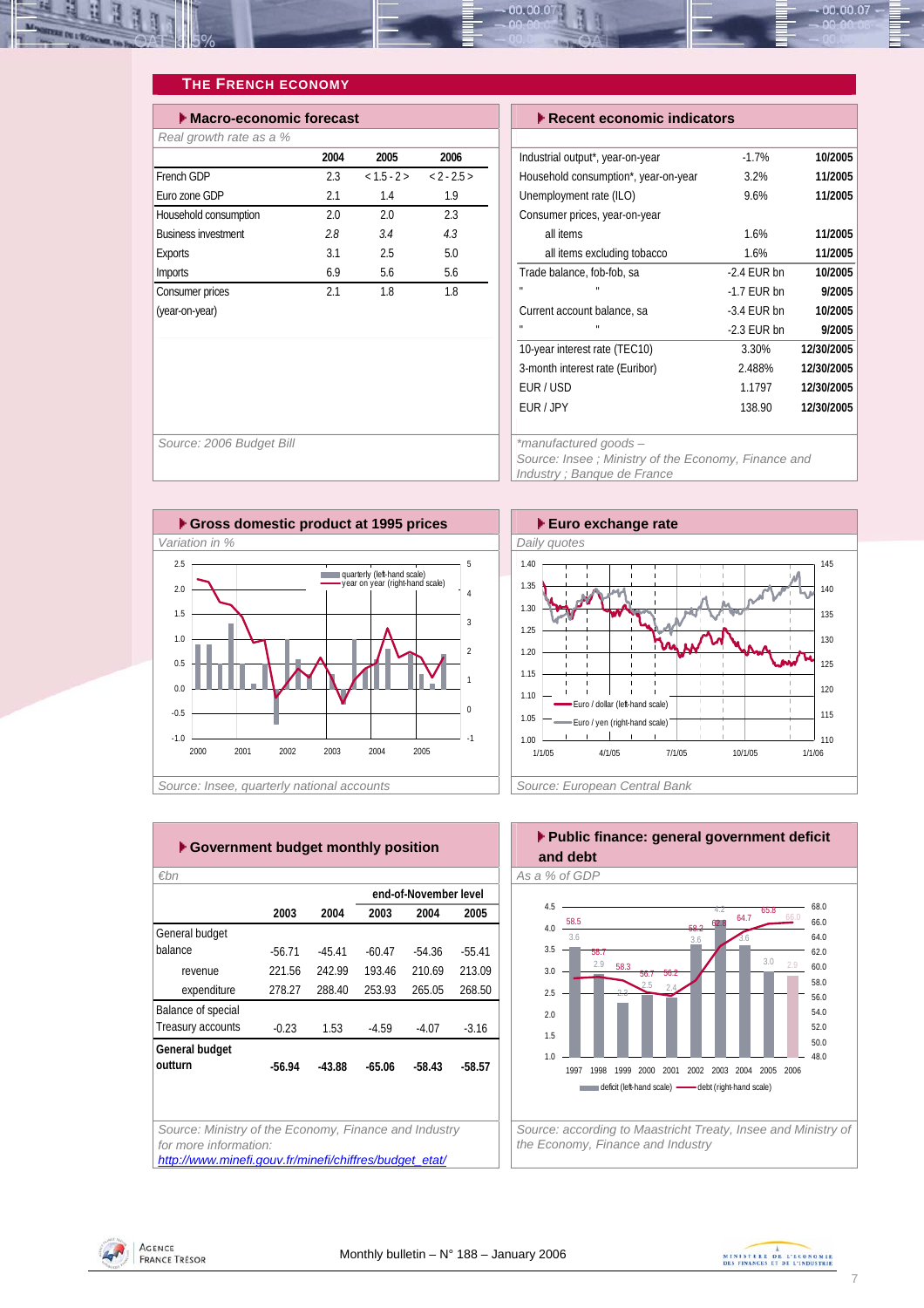<span id="page-6-0"></span>

#### **THE FRENCH ECONOMY**

| Macro-economic forecast    | $\blacktriangleright$ Recent economic indicators |               |          |                                      |
|----------------------------|--------------------------------------------------|---------------|----------|--------------------------------------|
| Real growth rate as a %    |                                                  |               |          |                                      |
|                            | 2004                                             | 2005          | 2006     | Industrial output*, year-on-year     |
| French GDP                 | 2.3                                              | $< 1.5 - 2 >$ | $2 - 25$ | Household consumption*, year-on-year |
| Euro zone GDP              | 2.1                                              | 1.4           | 1.9      | Unemployment rate (ILO)              |
| Household consumption      | 2.0                                              | 2.0           | 2.3      | Consumer prices, year-on-year        |
| <b>Business investment</b> | 2.8                                              | 3.4           | 4.3      | all items                            |
| <b>Exports</b>             | 3.1                                              | 2.5           | 5.0      | all items excluding tobacco          |
| <b>Imports</b>             | 6.9                                              | 5.6           | 5.6      | Trade balance, fob-fob, sa<br>$-2$   |
| Consumer prices            | 2.1                                              | 1.8           | 1.8      | $\mathbf{u}$<br>$-1$                 |
| (year-on-year)             |                                                  |               |          | Current account balance, sa<br>$-3.$ |
|                            |                                                  |               |          | $\mathbf{u}$<br>$-2$                 |

| $\blacktriangleright$ Recent economic indicators |               |            |  |  |  |  |  |  |  |
|--------------------------------------------------|---------------|------------|--|--|--|--|--|--|--|
|                                                  |               |            |  |  |  |  |  |  |  |
| Industrial output*, year-on-year                 | $-1.7%$       | 10/2005    |  |  |  |  |  |  |  |
| Household consumption*, year-on-year             | 3.2%          | 11/2005    |  |  |  |  |  |  |  |
| Unemployment rate (ILO)                          | 9.6%          | 11/2005    |  |  |  |  |  |  |  |
| Consumer prices, year-on-year                    |               |            |  |  |  |  |  |  |  |
| all items                                        | 1.6%          | 11/2005    |  |  |  |  |  |  |  |
| all items excluding tobacco                      | 1.6%          | 11/2005    |  |  |  |  |  |  |  |
| Trade balance, fob-fob, sa                       | $-2.4$ EUR bn | 10/2005    |  |  |  |  |  |  |  |
| H,                                               | $-1.7$ EUR bn | 9/2005     |  |  |  |  |  |  |  |
| Current account balance, sa                      | $-3.4$ EUR bn | 10/2005    |  |  |  |  |  |  |  |
| п<br>п                                           | $-2.3$ EUR bn | 9/2005     |  |  |  |  |  |  |  |
| 10-year interest rate (TEC10)                    | 3.30%         | 12/30/2005 |  |  |  |  |  |  |  |
| 3-month interest rate (Euribor)                  | 2.488%        | 12/30/2005 |  |  |  |  |  |  |  |
| EUR/USD                                          | 1.1797        | 12/30/2005 |  |  |  |  |  |  |  |
| EUR / JPY                                        | 138.90        | 12/30/2005 |  |  |  |  |  |  |  |
|                                                  |               |            |  |  |  |  |  |  |  |

*Source: 2006 Budget Bill \*manufactured goods – Source: Insee ; Ministry of the Economy, Finance and Industry ; Banque de France* 





*€bn As a % of GDP Source: Ministry of the Economy, Finance and Industry for more information: [http://www.minefi.gouv.fr/minefi/chiffres/budget\\_etat/](http://www.minefi.gouv.fr/minefi/chiffres/budget_etat/)* **2003 2004 2003 2004 2005** General budget balance -56.71 -45.41 -60.47 -54.36 -55.41 revenue 221.56 242.99 193.46 210.69 213.09 expenditure 278.27 288.40 253.93 265.05 268.50 **Balance of special** Treasury accounts -0.23 1.53 -4.59 -4.07 -3.16 **General budget outturn -56.94 -43.88 -65.06 -58.43 -58.57 end-of-November level**



*the Economy, Finance and Industry* 



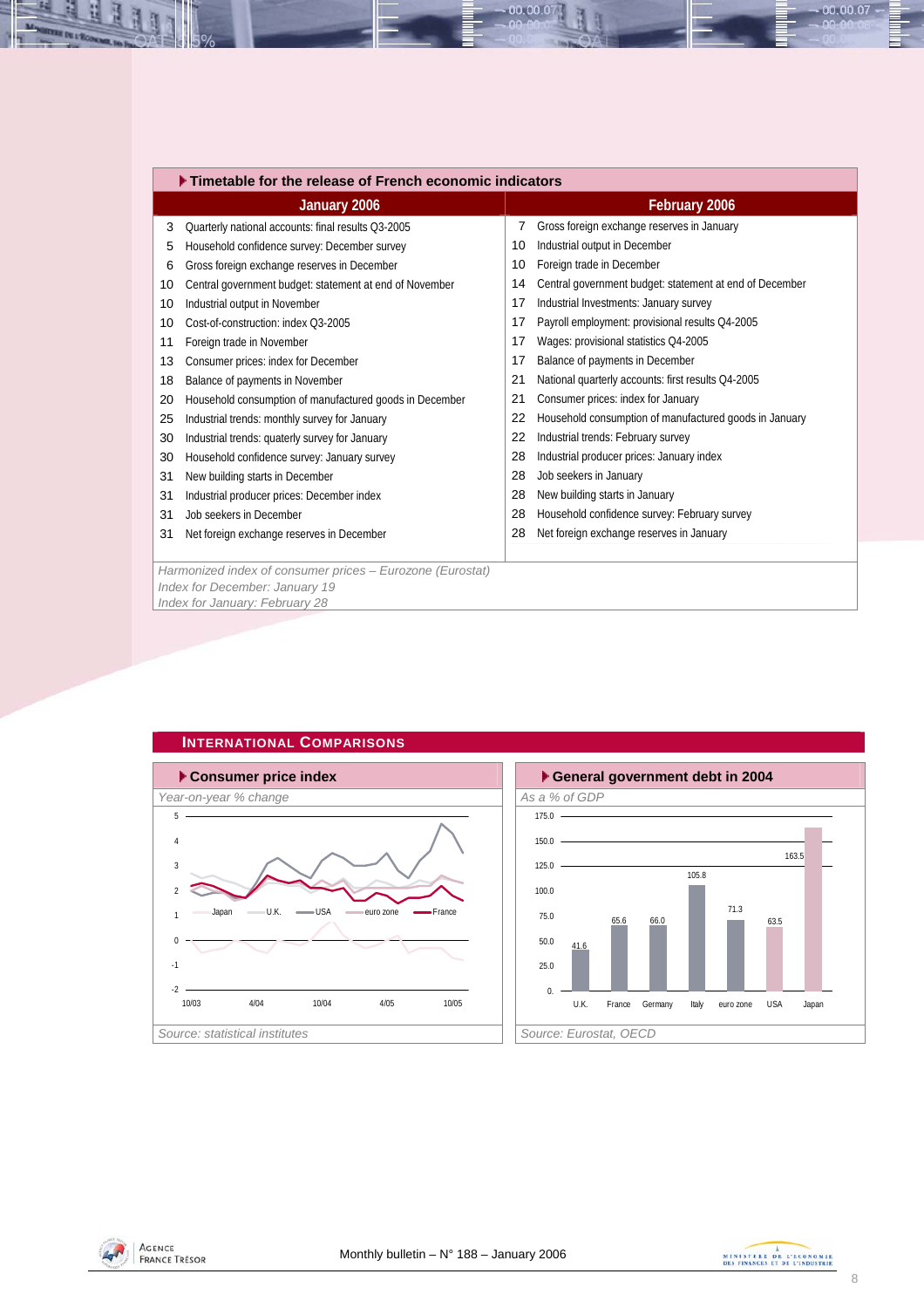<span id="page-7-0"></span>

|    | Timetable for the release of French economic indicators   |    |                                                         |  |  |  |  |  |  |
|----|-----------------------------------------------------------|----|---------------------------------------------------------|--|--|--|--|--|--|
|    | January 2006                                              |    | February 2006                                           |  |  |  |  |  |  |
| 3  | Quarterly national accounts: final results Q3-2005        | 7  | Gross foreign exchange reserves in January              |  |  |  |  |  |  |
| 5  | Household confidence survey: December survey              | 10 | Industrial output in December                           |  |  |  |  |  |  |
| 6  | Gross foreign exchange reserves in December               | 10 | Foreign trade in December                               |  |  |  |  |  |  |
| 10 | Central government budget: statement at end of November   | 14 | Central government budget: statement at end of December |  |  |  |  |  |  |
| 10 | Industrial output in November                             | 17 | Industrial Investments: January survey                  |  |  |  |  |  |  |
| 10 | Cost-of-construction: index Q3-2005                       | 17 | Payroll employment: provisional results Q4-2005         |  |  |  |  |  |  |
| 11 | Foreign trade in November                                 | 17 | Wages: provisional statistics Q4-2005                   |  |  |  |  |  |  |
| 13 | Consumer prices: index for December                       | 17 | Balance of payments in December                         |  |  |  |  |  |  |
| 18 | Balance of payments in November                           | 21 | National quarterly accounts: first results Q4-2005      |  |  |  |  |  |  |
| 20 | Household consumption of manufactured goods in December   | 21 | Consumer prices: index for January                      |  |  |  |  |  |  |
| 25 | Industrial trends: monthly survey for January             | 22 | Household consumption of manufactured goods in January  |  |  |  |  |  |  |
| 30 | Industrial trends: quaterly survey for January            | 22 | Industrial trends: February survey                      |  |  |  |  |  |  |
| 30 | Household confidence survey: January survey               | 28 | Industrial producer prices: January index               |  |  |  |  |  |  |
| 31 | New building starts in December                           | 28 | Job seekers in January                                  |  |  |  |  |  |  |
| 31 | Industrial producer prices: December index                | 28 | New building starts in January                          |  |  |  |  |  |  |
| 31 | Job seekers in December                                   | 28 | Household confidence survey: February survey            |  |  |  |  |  |  |
| 31 | Net foreign exchange reserves in December                 | 28 | Net foreign exchange reserves in January                |  |  |  |  |  |  |
|    |                                                           |    |                                                         |  |  |  |  |  |  |
|    | Harmonized index of consumer prices - Eurozone (Eurostat) |    |                                                         |  |  |  |  |  |  |
|    | Index for December: January 19                            |    |                                                         |  |  |  |  |  |  |
|    | Index for January: February 28                            |    |                                                         |  |  |  |  |  |  |

 $00.00.0$ 



#### **INTERNATIONAL COMPARISONS**







00.00.07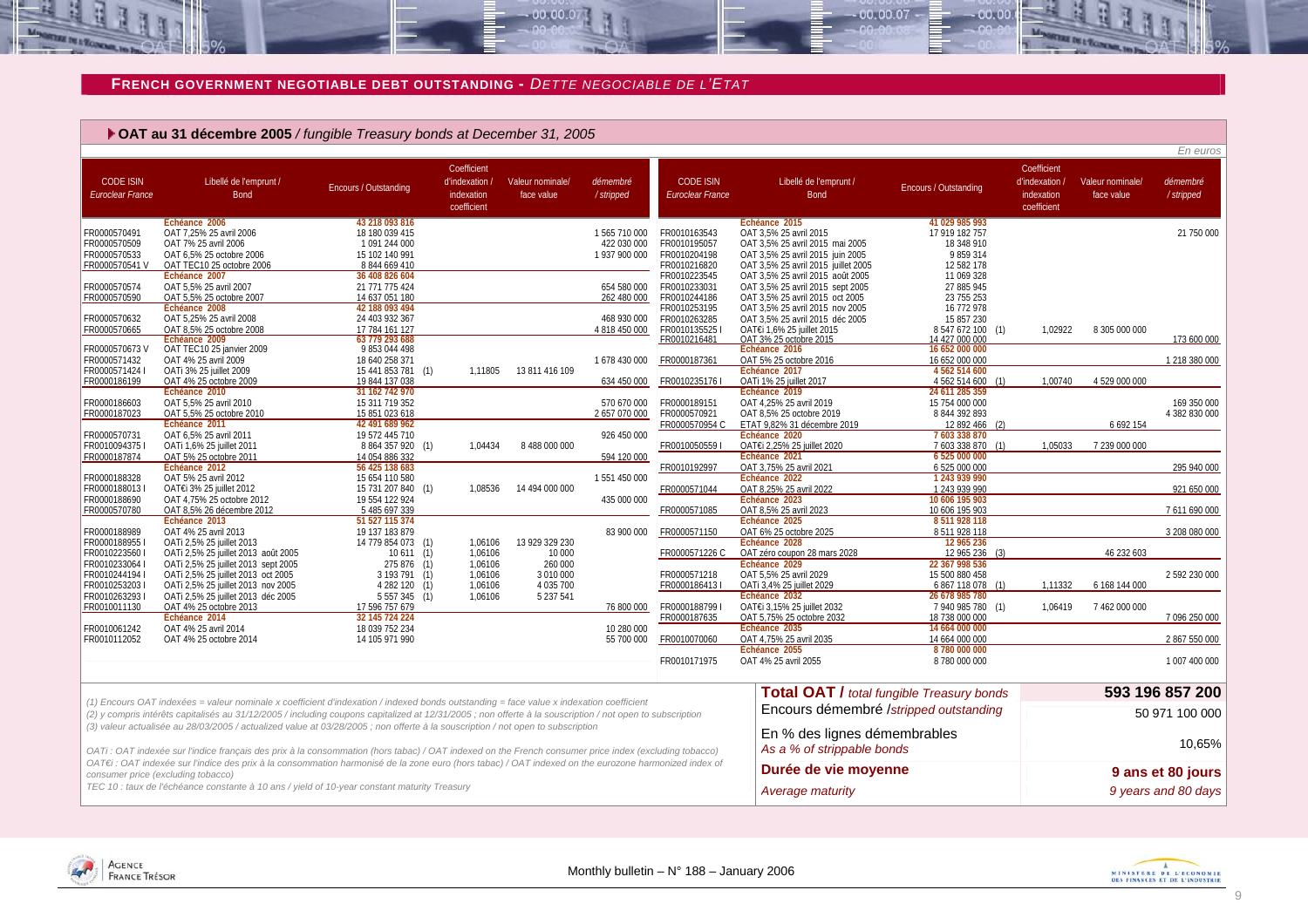#### **FRENCH GOVERNMENT NEGOTIABLE DEBT OUTSTANDING -** *DETTE NEGOCIABLE DE L'ETAT*

 $00.00.07$ 

|                                                                                                | • OAT au 31 décembre 2005 / fungible Treasury bonds at December 31, 2005                                                                                                                                                                                                                            |                                                                                                                                            |                                                            |                                                |                                                                          |                                                                                                              |                                                                                                                                                                                                                                                                  |                                                                                                                   |                                                            |                                |                                    |
|------------------------------------------------------------------------------------------------|-----------------------------------------------------------------------------------------------------------------------------------------------------------------------------------------------------------------------------------------------------------------------------------------------------|--------------------------------------------------------------------------------------------------------------------------------------------|------------------------------------------------------------|------------------------------------------------|--------------------------------------------------------------------------|--------------------------------------------------------------------------------------------------------------|------------------------------------------------------------------------------------------------------------------------------------------------------------------------------------------------------------------------------------------------------------------|-------------------------------------------------------------------------------------------------------------------|------------------------------------------------------------|--------------------------------|------------------------------------|
| <b>CODE ISIN</b><br><b>Euroclear France</b>                                                    | Libellé de l'emprunt /<br><b>Bond</b>                                                                                                                                                                                                                                                               | <b>Encours / Outstanding</b>                                                                                                               | Coefficient<br>d'indexation /<br>indexation<br>coefficient | Valeur nominale/<br>face value                 | démembré<br>/ stripped                                                   | <b>CODE ISIN</b><br>Euroclear France                                                                         | Libellé de l'emprunt /<br><b>Bond</b>                                                                                                                                                                                                                            | <b>Encours / Outstanding</b>                                                                                      | Coefficient<br>d'indexation /<br>indexation<br>coefficient | Valeur nominale/<br>face value | En euros<br>démembré<br>/ stripped |
| FR0000570491<br>FR0000570509<br>FR0000570533<br>FR0000570541 V<br>FR0000570574<br>FR0000570590 | Echéance 2006<br>OAT 7,25% 25 avril 2006<br>OAT 7% 25 avril 2006<br>OAT 6,5% 25 octobre 2006<br>OAT TEC10 25 octobre 2006<br>Échéance 2007<br>OAT 5.5% 25 avril 2007<br>OAT 5,5% 25 octobre 2007                                                                                                    | 43 218 093 816<br>18 180 039 415<br>1 091 244 000<br>15 102 140 991<br>8 844 669 410<br>36 408 826 604<br>21 771 775 424<br>14 637 051 180 |                                                            |                                                | 1565710000<br>422 030 000<br>1 937 900 000<br>654 580 000<br>262 480 000 | FR0010163543<br>FR0010195057<br>FR0010204198<br>FR0010216820<br>FR0010223545<br>FR0010233031<br>FR0010244186 | Echéance 2015<br>OAT 3,5% 25 avril 2015<br>OAT 3,5% 25 avril 2015 mai 2005<br>OAT 3,5% 25 avril 2015 juin 2005<br>OAT 3,5% 25 avril 2015 juillet 2005<br>OAT 3,5% 25 avril 2015 août 2005<br>OAT 3,5% 25 avril 2015 sept 2005<br>OAT 3,5% 25 avril 2015 oct 2005 | 41 029 985 993<br>17 919 182 757<br>18 348 910<br>9859314<br>12 582 178<br>11 069 328<br>27 885 945<br>23 755 253 |                                                            |                                | 21 750 000                         |
| FR0000570632<br>FR0000570665<br>FR0000570673V<br>FR0000571432                                  | Echéance 2008<br>OAT 5,25% 25 avril 2008<br>OAT 8,5% 25 octobre 2008<br>Echéance 2009<br>OAT TEC10 25 janvier 2009<br>OAT 4% 25 avril 2009                                                                                                                                                          | 42 188 093 494<br>24 403 932 367<br>17 784 161 127<br>63 779 293 688<br>9 853 044 498<br>18 640 258 371                                    |                                                            |                                                | 468 930 000<br>4 818 450 000<br>1678 430 000                             | FR0010253195<br>FR0010263285<br>FR0010135525<br>FR0010216481<br>FR0000187361                                 | OAT 3,5% 25 avril 2015 nov 2005<br>OAT 3,5% 25 avril 2015 déc 2005<br>OAT€i 1,6% 25 juillet 2015<br>OAT 3% 25 octobre 2015<br>Echéance 2016<br>OAT 5% 25 octobre 2016                                                                                            | 16 772 978<br>15 857 230<br>8 547 672 100<br>(1)<br>14 427 000 000<br>16 652 000 000<br>16 652 000 000            | 1,02922                                                    | 8 305 000 000                  | 173 600 000<br>1 218 380 000       |
| FR0000571424 I<br>FR0000186199                                                                 | OATi 3% 25 juillet 2009<br>OAT 4% 25 octobre 2009<br>Échéance 2010                                                                                                                                                                                                                                  | 15 441 853 781<br>(1)<br>19 844 137 038<br>31 162 742 970                                                                                  | 1.11805                                                    | 13 811 416 109                                 | 634 450 000                                                              | FR0010235176                                                                                                 | Échéance 2017<br>OATi 1% 25 juillet 2017<br>Échéance 2019                                                                                                                                                                                                        | 4 562 514 600<br>4 562 514 600<br>(1)<br>24 611 285 359                                                           | 1.00740                                                    | 4 529 000 000                  |                                    |
| FR0000186603<br>FR0000187023                                                                   | OAT 5,5% 25 avril 2010<br>OAT 5,5% 25 octobre 2010<br>Echéance 2011                                                                                                                                                                                                                                 | 15 311 719 352<br>15 851 023 618<br>42 491 689 962                                                                                         |                                                            |                                                | 570 670 000<br>2657070000                                                | FR0000189151<br>FR0000570921<br>FR0000570954 C                                                               | OAT 4,25% 25 avril 2019<br>OAT 8,5% 25 octobre 2019<br>ETAT 9,82% 31 décembre 2019                                                                                                                                                                               | 15 754 000 000<br>8 844 392 893<br>12 892 466<br>(2)                                                              |                                                            | 6 692 154                      | 169 350 000<br>4 382 830 000       |
| FR0000570731<br>FR00100943751<br>FR0000187874                                                  | OAT 6,5% 25 avril 2011<br>OATi 1,6% 25 juillet 2011<br>OAT 5% 25 octobre 2011<br>Échéance 2012                                                                                                                                                                                                      | 19 572 445 710<br>8 864 357 920 (1)<br>14 054 886 332<br>56 425 138 683                                                                    | 1.04434                                                    | 8 488 000 000                                  | 926 450 000<br>594 120 000                                               | FR00100505591<br>FR0010192997                                                                                | Echéance 2020<br>OAT€i 2.25% 25 iuillet 2020<br>Echéance 2021<br>OAT 3,75% 25 avril 2021                                                                                                                                                                         | 7 603 338 870<br>7 603 338 870 (1)<br>6 525 000 000<br>6 525 000 000                                              | 1.05033                                                    | 7 239 000 000                  | 295 940 000                        |
| FR0000188328<br>FR0000188013<br>FR0000188690<br>FR0000570780                                   | OAT 5% 25 avril 2012<br>OAT€i 3% 25 juillet 2012<br>OAT 4,75% 25 octobre 2012<br>OAT 8,5% 26 décembre 2012                                                                                                                                                                                          | 15 654 110 580<br>15 731 207 840 (1)<br>19 554 122 924<br>5 485 697 339                                                                    | 1,08536                                                    | 14 494 000 000                                 | 1551450000<br>435 000 000                                                | FR0000571044<br>FR0000571085                                                                                 | Echéance 2022<br>OAT 8,25% 25 avril 2022<br>Echéance 2023<br>OAT 8,5% 25 avril 2023                                                                                                                                                                              | 1 243 939 990<br>1 243 939 990<br>10 606 195 903<br>10 606 195 903                                                |                                                            |                                | 921 650 000<br>7611690000          |
| FR0000188989<br>FR00001889551<br>FR00102235601                                                 | Echéance 2013<br>OAT 4% 25 avril 2013<br>OATi 2,5% 25 juillet 2013<br>OATi 2,5% 25 juillet 2013 août 2005                                                                                                                                                                                           | 51 527 115 374<br>19 137 183 879<br>14 779 854 073 (1)<br>10611(1)                                                                         | 1.06106<br>1.06106                                         | 13 929 329 230<br>10 000                       | 83 900 000                                                               | FR0000571150<br>FR0000571226 C                                                                               | Echéance 2025<br>OAT 6% 25 octobre 2025<br>Échéance 2028<br>OAT zéro coupon 28 mars 2028                                                                                                                                                                         | 8 511 928 118<br>8 511 928 118<br>12 965 236<br>12 965 236 (3)                                                    |                                                            | 46 232 603                     | 3 208 080 000                      |
| FR0010233064<br>FR0010244194 I<br>FR0010253203<br>FR00102632931                                | OATi 2,5% 25 juillet 2013 sept 2005<br>OATi 2,5% 25 juillet 2013 oct 2005<br>OATi 2,5% 25 juillet 2013 nov 2005<br>OATi 2,5% 25 juillet 2013 déc 2005                                                                                                                                               | 275 876 (1)<br>3 193 791 (1)<br>4 282 120 (1)<br>5 5 5 7 3 4 5 (1)                                                                         | 1,06106<br>1,06106<br>1,06106<br>1.06106                   | 260 000<br>3 010 000<br>4 035 700<br>5 237 541 |                                                                          | FR0000571218<br>FR00001864131                                                                                | Échéance 2029<br>OAT 5,5% 25 avril 2029<br>OATi 3,4% 25 juillet 2029<br>Echéance 2032                                                                                                                                                                            | 22 367 998 536<br>15 500 880 458<br>6 867 118 078<br>(1)<br>26 678 985 780                                        | 1.11332                                                    | 6 168 144 000                  | 2 592 230 000                      |
| FR0010011130<br>FR0010061242                                                                   | OAT 4% 25 octobre 2013<br>Échéance 2014<br>OAT 4% 25 avril 2014                                                                                                                                                                                                                                     | 17 596 757 679<br>32 145 724 224<br>18 039 752 234                                                                                         |                                                            |                                                | 76 800 000<br>10 280 000                                                 | FR00001887991<br>FR0000187635                                                                                | OAT€i 3.15% 25 iuillet 2032<br>OAT 5,75% 25 octobre 2032<br>Echéance 2035                                                                                                                                                                                        | 7 940 985 780 (1)<br>18 738 000 000<br>14 664 000 000                                                             | 1.06419                                                    | 7 462 000 000                  | 7 096 250 000                      |
| FR0010112052                                                                                   | OAT 4% 25 octobre 2014                                                                                                                                                                                                                                                                              | 14 105 971 990                                                                                                                             |                                                            |                                                | 55 700 000                                                               | FR0010070060<br>FR0010171975                                                                                 | OAT 4,75% 25 avril 2035<br>Echéance 2055<br>OAT 4% 25 avril 2055                                                                                                                                                                                                 | 14 664 000 000<br>8 780 000 000<br>8780000000                                                                     |                                                            |                                | 2 867 550 000<br>1 007 400 000     |
|                                                                                                | (1) Encours OAT indexées = valeur nominale x coefficient d'indexation / indexed bonds outstanding = face value x indexation coefficient<br>(2) y compris intérêts capitalisés au 31/12/2005 / including coupons capitalized at 12/31/2005; non offerte à la souscription / not open to subscription |                                                                                                                                            |                                                            |                                                |                                                                          |                                                                                                              | <b>Total OAT / total fungible Treasury bonds</b><br>Encours démembré /stripped outstanding                                                                                                                                                                       |                                                                                                                   |                                                            |                                | 593 196 857 200<br>50 971 100 000  |
|                                                                                                | (3) valeur actualisée au 28/03/2005 / actualized value at 03/28/2005 ; non offerte à la souscription / not open to subscription<br>OATi : OAT indexée sur l'indice français des prix à la consommation (hors tabac) / OAT indexed on the French consumer price index (excluding tobacco)            |                                                                                                                                            |                                                            |                                                |                                                                          |                                                                                                              | En % des lignes démembrables<br>As a % of strippable bonds                                                                                                                                                                                                       |                                                                                                                   |                                                            |                                | 10,65%                             |
|                                                                                                | OAT€i : OAT indexée sur l'indice des prix à la consommation harmonisé de la zone euro (hors tabac) / OAT indexed on the eurozone harmonized index of<br>consumer price (excluding tobacco)                                                                                                          |                                                                                                                                            |                                                            |                                                |                                                                          |                                                                                                              | Durée de vie moyenne                                                                                                                                                                                                                                             |                                                                                                                   |                                                            |                                | 9 ans et 80 jours                  |

00.00.07

 $00.00$ 

*OAT€i : OAT indexée sur l'indice des prix à la consommation harmonisé de la zone euro (hors tabac) / OAT indexed on the eurozone harmonized index of consumer price (excluding tobacco)* TEC 10 : taux de l'échéance constante à 10 ans / yield of 10-year constant maturity Treasury **Average maturity** Average maturity **9 years and 80 days** 

<span id="page-8-0"></span>

**DE L'ECON**